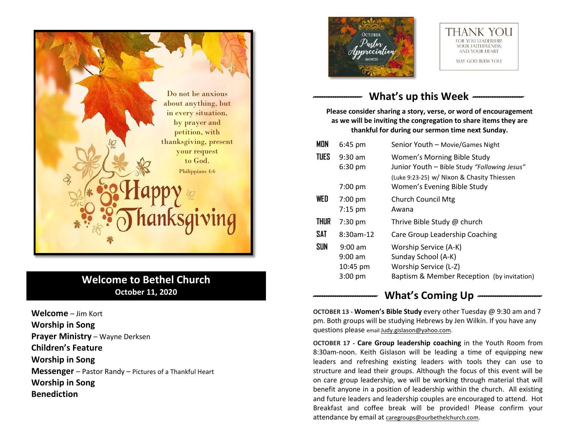

# **Welcome to Bethel Church October 11, 2020**

**Welcome** – Jim Kort **Worship in Song Prayer Ministry** – Wayne Derksen **Children's Feature Worship in Song Messenger** – Pastor Randy – Pictures of a Thankful Heart **Worship in Song Benediction**





# What's up this Week --

**Please consider sharing a story, verse, or word of encouragement as we will be inviting the congregation to share items they are thankful for during our sermon time next Sunday.**

| <b>MON</b>  | $6:45$ pm                                               | Senior Youth - Movie/Games Night                                                                                                                         |
|-------------|---------------------------------------------------------|----------------------------------------------------------------------------------------------------------------------------------------------------------|
| <b>TUES</b> | $9:30$ am<br>$6:30$ pm<br>$7:00 \text{ pm}$             | Women's Morning Bible Study<br>Junior Youth - Bible Study "Following Jesus"<br>(Luke 9:23-25) w/ Nixon & Chasity Thiessen<br>Women's Evening Bible Study |
| WED         | $7:00$ pm<br>$7:15$ pm                                  | <b>Church Council Mtg</b><br>Awana                                                                                                                       |
| <b>THUR</b> | $7:30$ pm                                               | Thrive Bible Study @ church                                                                                                                              |
| <b>SAT</b>  | $8:30$ am-12                                            | Care Group Leadership Coaching                                                                                                                           |
| <b>SUN</b>  | $9:00$ am<br>$9:00$ am<br>10:45 pm<br>$3:00 \text{ pm}$ | Worship Service (A-K)<br>Sunday School (A-K)<br>Worship Service (L-Z)<br>Baptism & Member Reception (by invitation)                                      |
|             |                                                         |                                                                                                                                                          |

## What's Coming Up  $-$

**OCTOBER 13 - Women's Bible Study** every other Tuesday @ 9:30 am and 7 pm. Both groups will be studying Hebrews by Jen Wilkin. If you have any questions please email [Judy.gislason@yahoo.com.](mailto:Judy.gislason@yahoo.com)

**OCTOBER 17 - Care Group leadership coaching** in the Youth Room from 8:30am-noon. Keith Gislason will be leading a time of equipping new leaders and refreshing existing leaders with tools they can use to structure and lead their groups. Although the focus of this event will be on care group leadership, we will be working through material that will benefit anyone in a position of leadership within the church. All existing and future leaders and leadership couples are encouraged to attend. Hot Breakfast and coffee break will be provided! Please confirm your attendance by email at [caregroups@ourbethelchurch.com.](mailto:caregroups@ourbethelchurch.com)